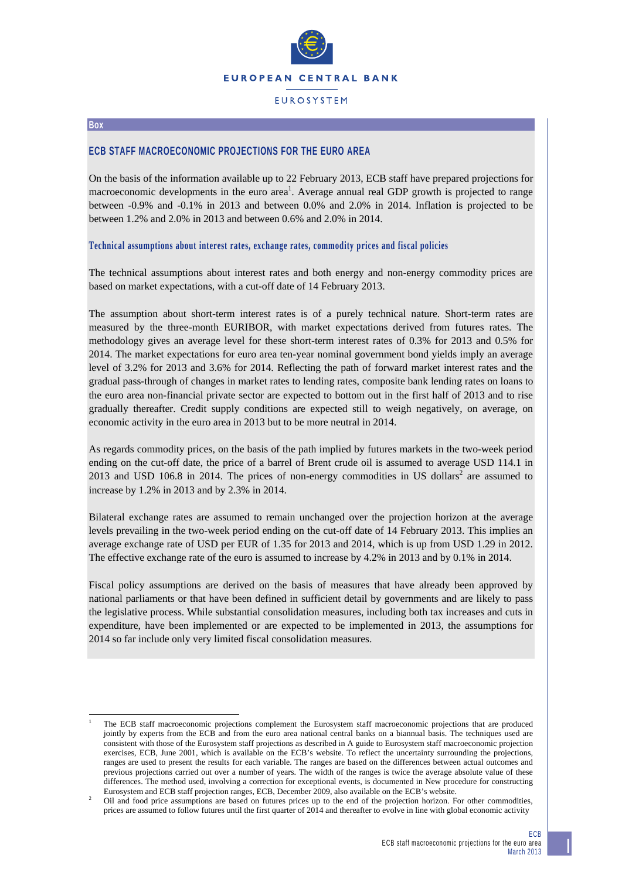

# **FUROSYSTEM**

#### **Box**

1

# **ECB STAFF MACROECONOMIC PROJECTIONS FOR THE EURO AREA**

On the basis of the information available up to 22 February 2013, ECB staff have prepared projections for macroeconomic developments in the euro area<sup>1</sup>. Average annual real GDP growth is projected to range between -0.9% and -0.1% in 2013 and between 0.0% and 2.0% in 2014. Inflation is projected to be between 1.2% and 2.0% in 2013 and between 0.6% and 2.0% in 2014.

#### **Technical assumptions about interest rates, exchange rates, commodity prices and fiscal policies**

The technical assumptions about interest rates and both energy and non-energy commodity prices are based on market expectations, with a cut-off date of 14 February 2013.

The assumption about short-term interest rates is of a purely technical nature. Short-term rates are measured by the three-month EURIBOR, with market expectations derived from futures rates. The methodology gives an average level for these short-term interest rates of 0.3% for 2013 and 0.5% for 2014. The market expectations for euro area ten-year nominal government bond yields imply an average level of 3.2% for 2013 and 3.6% for 2014. Reflecting the path of forward market interest rates and the gradual pass-through of changes in market rates to lending rates, composite bank lending rates on loans to the euro area non-financial private sector are expected to bottom out in the first half of 2013 and to rise gradually thereafter. Credit supply conditions are expected still to weigh negatively, on average, on economic activity in the euro area in 2013 but to be more neutral in 2014.

As regards commodity prices, on the basis of the path implied by futures markets in the two-week period ending on the cut-off date, the price of a barrel of Brent crude oil is assumed to average USD 114.1 in 2013 and USD 106.8 in 2014. The prices of non-energy commodities in US dollars<sup>2</sup> are assumed to increase by 1.2% in 2013 and by 2.3% in 2014.

Bilateral exchange rates are assumed to remain unchanged over the projection horizon at the average levels prevailing in the two-week period ending on the cut-off date of 14 February 2013. This implies an average exchange rate of USD per EUR of 1.35 for 2013 and 2014, which is up from USD 1.29 in 2012. The effective exchange rate of the euro is assumed to increase by 4.2% in 2013 and by 0.1% in 2014.

Fiscal policy assumptions are derived on the basis of measures that have already been approved by national parliaments or that have been defined in sufficient detail by governments and are likely to pass the legislative process. While substantial consolidation measures, including both tax increases and cuts in expenditure, have been implemented or are expected to be implemented in 2013, the assumptions for 2014 so far include only very limited fiscal consolidation measures.

<sup>1</sup> The ECB staff macroeconomic projections complement the Eurosystem staff macroeconomic projections that are produced jointly by experts from the ECB and from the euro area national central banks on a biannual basis. The techniques used are consistent with those of the Eurosystem staff projections as described in A guide to Eurosystem staff macroeconomic projection exercises, ECB, June 2001, which is available on the ECB's website. To reflect the uncertainty surrounding the projections, ranges are used to present the results for each variable. The ranges are based on the differences between actual outcomes and previous projections carried out over a number of years. The width of the ranges is twice the average absolute value of these differences. The method used, involving a correction for exceptional events, is documented in New procedure for constructing Eurosystem and ECB staff projection ranges, ECB, December 2009, also available on the ECB's website.

Oil and food price assumptions are based on futures prices up to the end of the projection horizon. For other commodities, prices are assumed to follow futures until the first quarter of 2014 and thereafter to evolve in line with global economic activity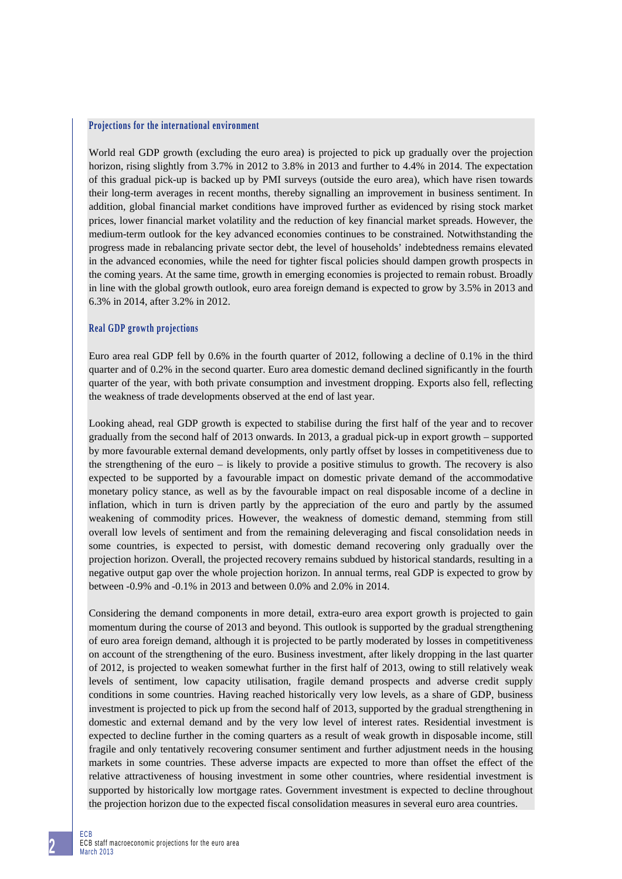#### **Projections for the international environment**

World real GDP growth (excluding the euro area) is projected to pick up gradually over the projection horizon, rising slightly from 3.7% in 2012 to 3.8% in 2013 and further to 4.4% in 2014. The expectation of this gradual pick-up is backed up by PMI surveys (outside the euro area), which have risen towards their long-term averages in recent months, thereby signalling an improvement in business sentiment. In addition, global financial market conditions have improved further as evidenced by rising stock market prices, lower financial market volatility and the reduction of key financial market spreads. However, the medium-term outlook for the key advanced economies continues to be constrained. Notwithstanding the progress made in rebalancing private sector debt, the level of households' indebtedness remains elevated in the advanced economies, while the need for tighter fiscal policies should dampen growth prospects in the coming years. At the same time, growth in emerging economies is projected to remain robust. Broadly in line with the global growth outlook, euro area foreign demand is expected to grow by 3.5% in 2013 and 6.3% in 2014, after 3.2% in 2012.

### **Real GDP growth projections**

Euro area real GDP fell by 0.6% in the fourth quarter of 2012, following a decline of 0.1% in the third quarter and of 0.2% in the second quarter. Euro area domestic demand declined significantly in the fourth quarter of the year, with both private consumption and investment dropping. Exports also fell, reflecting the weakness of trade developments observed at the end of last year.

Looking ahead, real GDP growth is expected to stabilise during the first half of the year and to recover gradually from the second half of 2013 onwards. In 2013, a gradual pick-up in export growth – supported by more favourable external demand developments, only partly offset by losses in competitiveness due to the strengthening of the euro – is likely to provide a positive stimulus to growth. The recovery is also expected to be supported by a favourable impact on domestic private demand of the accommodative monetary policy stance, as well as by the favourable impact on real disposable income of a decline in inflation, which in turn is driven partly by the appreciation of the euro and partly by the assumed weakening of commodity prices. However, the weakness of domestic demand, stemming from still overall low levels of sentiment and from the remaining deleveraging and fiscal consolidation needs in some countries, is expected to persist, with domestic demand recovering only gradually over the projection horizon. Overall, the projected recovery remains subdued by historical standards, resulting in a negative output gap over the whole projection horizon. In annual terms, real GDP is expected to grow by between -0.9% and -0.1% in 2013 and between 0.0% and 2.0% in 2014.

Considering the demand components in more detail, extra-euro area export growth is projected to gain momentum during the course of 2013 and beyond. This outlook is supported by the gradual strengthening of euro area foreign demand, although it is projected to be partly moderated by losses in competitiveness on account of the strengthening of the euro. Business investment, after likely dropping in the last quarter of 2012, is projected to weaken somewhat further in the first half of 2013, owing to still relatively weak levels of sentiment, low capacity utilisation, fragile demand prospects and adverse credit supply conditions in some countries. Having reached historically very low levels, as a share of GDP, business investment is projected to pick up from the second half of 2013, supported by the gradual strengthening in domestic and external demand and by the very low level of interest rates. Residential investment is expected to decline further in the coming quarters as a result of weak growth in disposable income, still fragile and only tentatively recovering consumer sentiment and further adjustment needs in the housing markets in some countries. These adverse impacts are expected to more than offset the effect of the relative attractiveness of housing investment in some other countries, where residential investment is supported by historically low mortgage rates. Government investment is expected to decline throughout the projection horizon due to the expected fiscal consolidation measures in several euro area countries.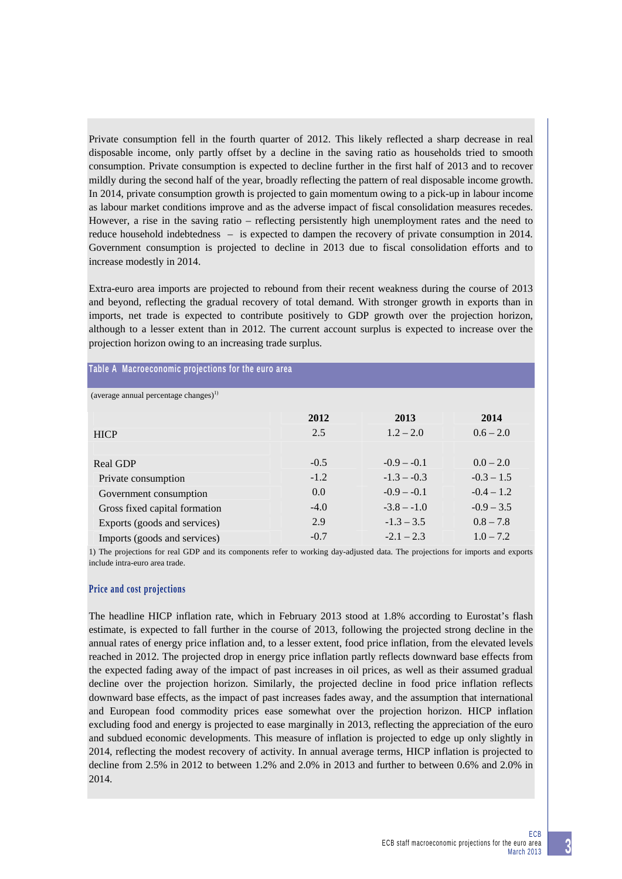Private consumption fell in the fourth quarter of 2012. This likely reflected a sharp decrease in real disposable income, only partly offset by a decline in the saving ratio as households tried to smooth consumption. Private consumption is expected to decline further in the first half of 2013 and to recover mildly during the second half of the year, broadly reflecting the pattern of real disposable income growth. In 2014, private consumption growth is projected to gain momentum owing to a pick-up in labour income as labour market conditions improve and as the adverse impact of fiscal consolidation measures recedes. However, a rise in the saving ratio – reflecting persistently high unemployment rates and the need to reduce household indebtedness – is expected to dampen the recovery of private consumption in 2014. Government consumption is projected to decline in 2013 due to fiscal consolidation efforts and to increase modestly in 2014.

Extra-euro area imports are projected to rebound from their recent weakness during the course of 2013 and beyond, reflecting the gradual recovery of total demand. With stronger growth in exports than in imports, net trade is expected to contribute positively to GDP growth over the projection horizon, although to a lesser extent than in 2012. The current account surplus is expected to increase over the projection horizon owing to an increasing trade surplus.

| Table A Macroeconomic projections for the euro area |  |  |  |
|-----------------------------------------------------|--|--|--|
|-----------------------------------------------------|--|--|--|

| (average annual percentage changes) |        |               |              |
|-------------------------------------|--------|---------------|--------------|
|                                     | 2012   | 2013          | 2014         |
| <b>HICP</b>                         | 2.5    | $1.2 - 2.0$   | $0.6 - 2.0$  |
|                                     |        |               |              |
| Real GDP                            | $-0.5$ | $-0.9 - -0.1$ | $0.0 - 2.0$  |
| Private consumption                 | $-1.2$ | $-1.3 - -0.3$ | $-0.3 - 1.5$ |
| Government consumption              | 0.0    | $-0.9 - -0.1$ | $-0.4 - 1.2$ |
| Gross fixed capital formation       | $-4.0$ | $-3.8 - -1.0$ | $-0.9 - 3.5$ |
| Exports (goods and services)        | 2.9    | $-1.3 - 3.5$  | $0.8 - 7.8$  |
| Imports (goods and services)        | $-0.7$ | $-2.1 - 2.3$  | $1.0 - 7.2$  |

1) The projections for real GDP and its components refer to working day-adjusted data. The projections for imports and exports include intra-euro area trade.

### **Price and cost projections**

The headline HICP inflation rate, which in February 2013 stood at 1.8% according to Eurostat's flash estimate, is expected to fall further in the course of 2013, following the projected strong decline in the annual rates of energy price inflation and, to a lesser extent, food price inflation, from the elevated levels reached in 2012. The projected drop in energy price inflation partly reflects downward base effects from the expected fading away of the impact of past increases in oil prices, as well as their assumed gradual decline over the projection horizon. Similarly, the projected decline in food price inflation reflects downward base effects, as the impact of past increases fades away, and the assumption that international and European food commodity prices ease somewhat over the projection horizon. HICP inflation excluding food and energy is projected to ease marginally in 2013, reflecting the appreciation of the euro and subdued economic developments. This measure of inflation is projected to edge up only slightly in 2014, reflecting the modest recovery of activity. In annual average terms, HICP inflation is projected to decline from 2.5% in 2012 to between 1.2% and 2.0% in 2013 and further to between 0.6% and 2.0% in 2014.

**3**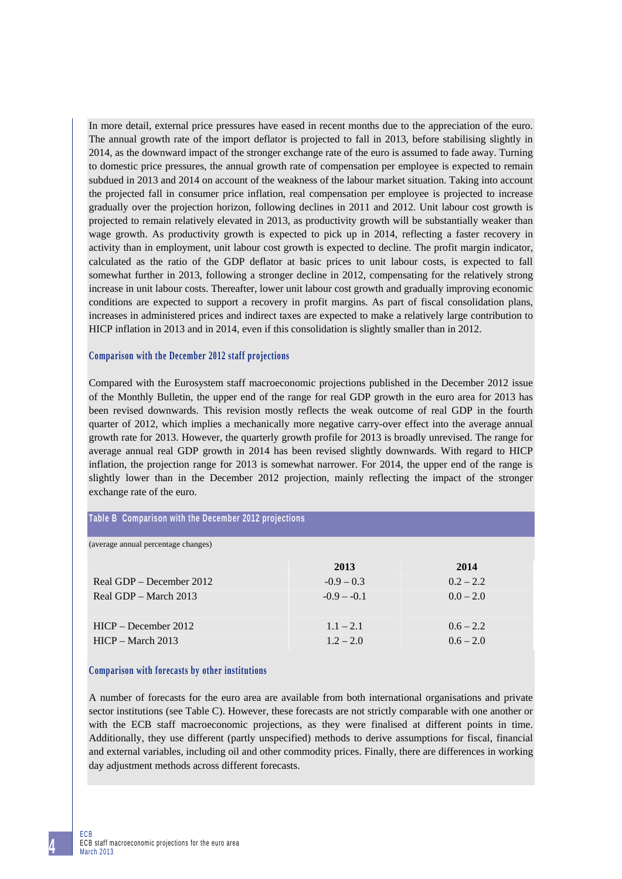In more detail, external price pressures have eased in recent months due to the appreciation of the euro. The annual growth rate of the import deflator is projected to fall in 2013, before stabilising slightly in 2014, as the downward impact of the stronger exchange rate of the euro is assumed to fade away. Turning to domestic price pressures, the annual growth rate of compensation per employee is expected to remain subdued in 2013 and 2014 on account of the weakness of the labour market situation. Taking into account the projected fall in consumer price inflation, real compensation per employee is projected to increase gradually over the projection horizon, following declines in 2011 and 2012. Unit labour cost growth is projected to remain relatively elevated in 2013, as productivity growth will be substantially weaker than wage growth. As productivity growth is expected to pick up in 2014, reflecting a faster recovery in activity than in employment, unit labour cost growth is expected to decline. The profit margin indicator, calculated as the ratio of the GDP deflator at basic prices to unit labour costs, is expected to fall somewhat further in 2013, following a stronger decline in 2012, compensating for the relatively strong increase in unit labour costs. Thereafter, lower unit labour cost growth and gradually improving economic conditions are expected to support a recovery in profit margins. As part of fiscal consolidation plans, increases in administered prices and indirect taxes are expected to make a relatively large contribution to HICP inflation in 2013 and in 2014, even if this consolidation is slightly smaller than in 2012.

#### **Comparison with the December 2012 staff projections**

Compared with the Eurosystem staff macroeconomic projections published in the December 2012 issue of the Monthly Bulletin, the upper end of the range for real GDP growth in the euro area for 2013 has been revised downwards. This revision mostly reflects the weak outcome of real GDP in the fourth quarter of 2012, which implies a mechanically more negative carry-over effect into the average annual growth rate for 2013. However, the quarterly growth profile for 2013 is broadly unrevised. The range for average annual real GDP growth in 2014 has been revised slightly downwards. With regard to HICP inflation, the projection range for 2013 is somewhat narrower. For 2014, the upper end of the range is slightly lower than in the December 2012 projection, mainly reflecting the impact of the stronger exchange rate of the euro.

#### **Table B Comparison with the December 2012 projections**

(average annual percentage changes)

|                          | 2013          | 2014        |
|--------------------------|---------------|-------------|
| Real GDP – December 2012 | $-0.9 - 0.3$  | $0.2 - 2.2$ |
| Real GDP $-$ March 2013  | $-0.9 - -0.1$ | $0.0 - 2.0$ |
|                          |               |             |
| $HICP - December 2012$   | $1.1 - 2.1$   | $0.6 - 2.2$ |
| $HICP - March 2013$      | $1.2 - 2.0$   | $0.6 - 2.0$ |
|                          |               |             |

# **Comparison with forecasts by other institutions**

A number of forecasts for the euro area are available from both international organisations and private sector institutions (see Table C). However, these forecasts are not strictly comparable with one another or with the ECB staff macroeconomic projections, as they were finalised at different points in time. Additionally, they use different (partly unspecified) methods to derive assumptions for fiscal, financial and external variables, including oil and other commodity prices. Finally, there are differences in working day adjustment methods across different forecasts.

**4**